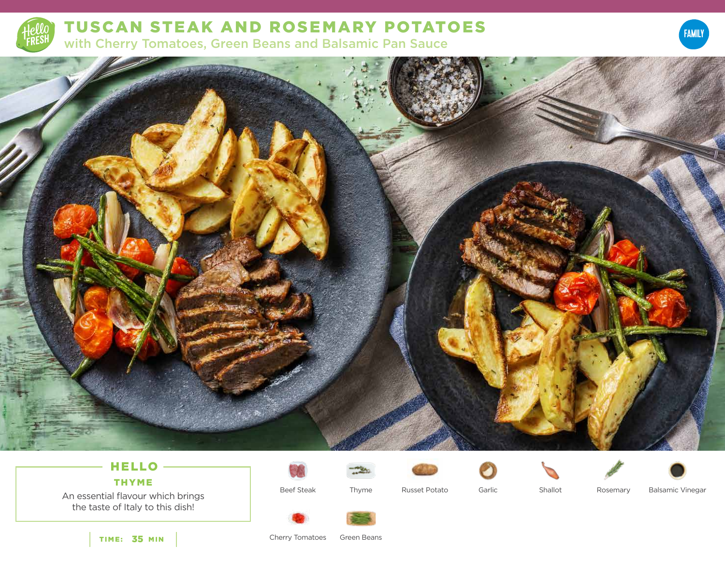

TUSCAN STEAK AND ROSEMARY POTATOES with Cherry Tomatoes, Green Beans and Balsamic Pan Sauce





## HELLO THYME

An essential flavour which brings







the taste of Italy to this dish!

Beef Steak

Thyme Russet Potato Garlic



Cherry Tomatoes Green Beans